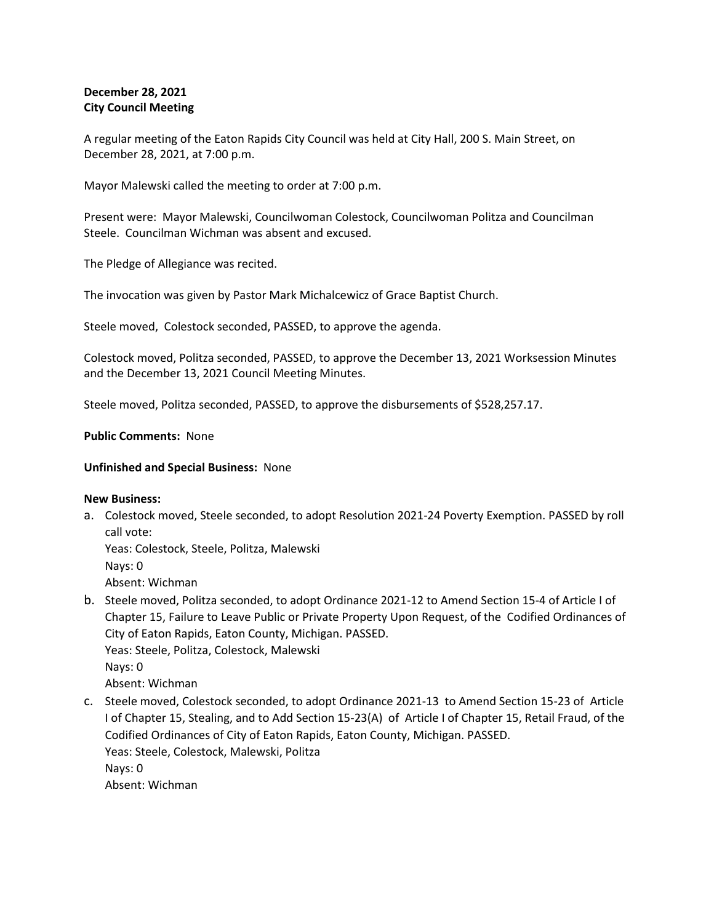# **December 28, 2021 City Council Meeting**

A regular meeting of the Eaton Rapids City Council was held at City Hall, 200 S. Main Street, on December 28, 2021, at 7:00 p.m.

Mayor Malewski called the meeting to order at 7:00 p.m.

Present were: Mayor Malewski, Councilwoman Colestock, Councilwoman Politza and Councilman Steele. Councilman Wichman was absent and excused.

The Pledge of Allegiance was recited.

The invocation was given by Pastor Mark Michalcewicz of Grace Baptist Church.

Steele moved, Colestock seconded, PASSED, to approve the agenda.

Colestock moved, Politza seconded, PASSED, to approve the December 13, 2021 Worksession Minutes and the December 13, 2021 Council Meeting Minutes.

Steele moved, Politza seconded, PASSED, to approve the disbursements of \$528,257.17.

# **Public Comments:** None

# **Unfinished and Special Business:** None

### **New Business:**

a. Colestock moved, Steele seconded, to adopt Resolution 2021-24 Poverty Exemption. PASSED by roll call vote:

Yeas: Colestock, Steele, Politza, Malewski

Nays: 0

Absent: Wichman

b. Steele moved, Politza seconded, to adopt Ordinance 2021-12 to Amend Section 15-4 of Article I of Chapter 15, Failure to Leave Public or Private Property Upon Request, of the Codified Ordinances of City of Eaton Rapids, Eaton County, Michigan. PASSED. Yeas: Steele, Politza, Colestock, Malewski Nays: 0

Absent: Wichman

c. Steele moved, Colestock seconded, to adopt Ordinance 2021-13 to Amend Section 15-23 of Article I of Chapter 15, Stealing, and to Add Section 15-23(A) of Article I of Chapter 15, Retail Fraud, of the Codified Ordinances of City of Eaton Rapids, Eaton County, Michigan. PASSED. Yeas: Steele, Colestock, Malewski, Politza Nays: 0 Absent: Wichman